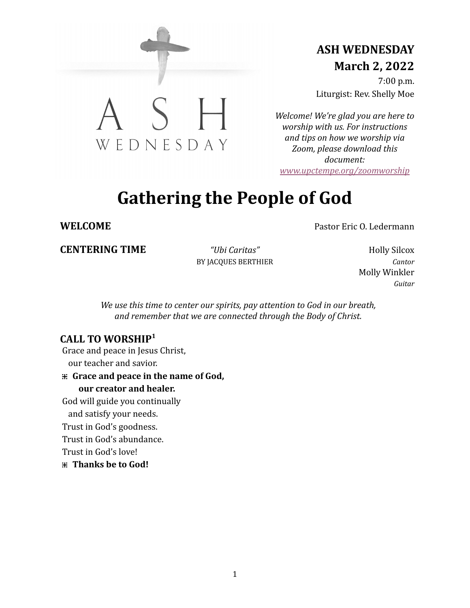

# **ASH WEDNESDAY March 2, 2022**

7:00 p.m. Liturgist: Rev. Shelly Moe

*Welcome! We're glad you are here to worship with us. For instructions and tips on how we worship via Zoom, please download this document: [www.upctempe.org/zoomworship](http://www.upctempe.org/zoomworship)*

# **Gathering the People of God**

# **WELCOME** Pastor Eric O. Ledermann

**CENTERING TIME** *"Ubi Caritas"* Holly Silcox

BY JACQUES BERTHIER *Cantor*

Molly Winkler *Guitar*

*We use this time to center our spirits, pay attention to God in our breath, and remember that we are connected through the Body of Christ.*

# **CALL TO WORSHIP 1**

Grace and peace in Jesus Christ, our teacher and savior.

**⁜ Grace and peace in the name of God, our creator and healer.**

God will guide you continually

and satisfy your needs.

Trust in God's goodness.

Trust in God's abundance.

Trust in God's love!

**⁜ Thanks be to God!**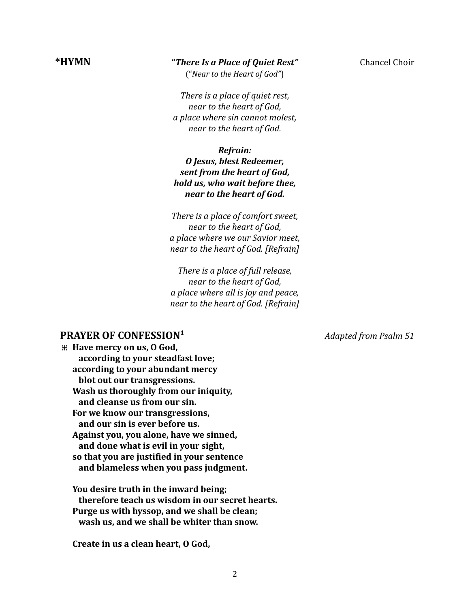# **\*HYMN "***There Is a Place of Quiet Rest"* Chancel Choir

("*Near to the Heart of God"*)

*There is a place of quiet rest, near to the heart of God, a place where sin cannot molest, near to the heart of God.*

#### *Refrain: O Jesus, blest Redeemer, sent from the heart of God, hold us, who wait before thee, near to the heart of God.*

*There is a place of comfort sweet, near to the heart of God, a place where we our Savior meet, near to the heart of God. [Refrain]*

*There is a place of full release, near to the heart of God, a place where all is joy and peace, near to the heart of God. [Refrain]*

#### **PRAYER OF CONFESSION**

**⁜ Have mercy on us, O God, according to your steadfast love; according to your abundant mercy blot out our transgressions. Wash us thoroughly from our iniquity, and cleanse us from our sin. For we know our transgressions, and our sin is ever before us. Against you, you alone, have we sinned, and done what is evil in your sight, so that you are justified in your sentence and blameless when you pass judgment.**

**You desire truth in the inward being; therefore teach us wisdom in our secret hearts. Purge us with hyssop, and we shall be clean; wash us, and we shall be whiter than snow.**

**Create in us a clean heart, O God,**

**<sup>1</sup>** *Adapted from Psalm 51*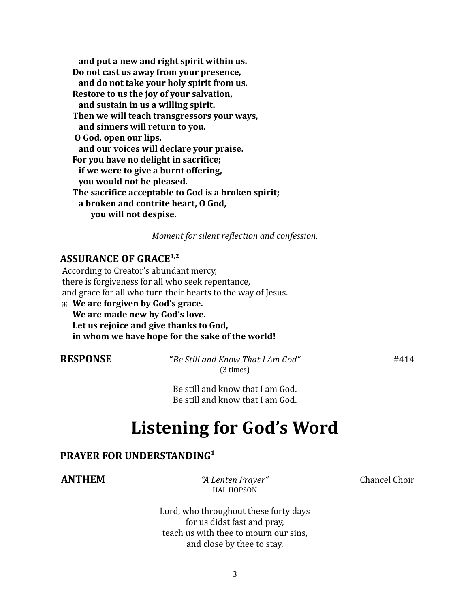**and put a new and right spirit within us. Do not cast us away from your presence, and do not take your holy spirit from us. Restore to us the joy of your salvation, and sustain in us a willing spirit. Then we will teach transgressors your ways, and sinners will return to you. O God, open our lips, and our voices will declare your praise. For you have no delight in sacrifice; if we were to give a burnt offering, you would not be pleased. The sacrifice acceptable to God is a broken spirit; a broken and contrite heart, O God, you will not despise.**

*Moment for silent reflection and confession.*

## **ASSURANCE OF GRACE 1,2**

According to Creator's abundant mercy, there is forgiveness for all who seek repentance, and grace for all who turn their hearts to the way of Jesus.

**⁜ We are forgiven by God's grace. We are made new by God's love. Let us rejoice and give thanks to God, in whom we have hope for the sake of the world!**

**RESPONSE "***Be Still and Know That I Am God"* #414 (3 times)

Be still and know that I am God. Be still and know that I am God.

# **Listening for God's Word**

## **PRAYER FOR UNDERSTANDING 1**

**ANTHEM** *"A Lenten Prayer"* Chancel Choir HAL HOPSON

Lord, who throughout these forty days for us didst fast and pray, teach us with thee to mourn our sins, and close by thee to stay.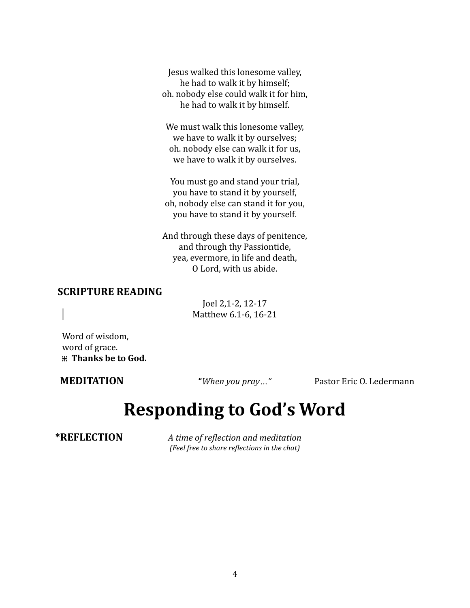Jesus walked this lonesome valley, he had to walk it by himself; oh. nobody else could walk it for him, he had to walk it by himself.

We must walk this lonesome valley, we have to walk it by ourselves; oh. nobody else can walk it for us, we have to walk it by ourselves.

You must go and stand your trial, you have to stand it by yourself, oh, nobody else can stand it for you, you have to stand it by yourself.

And through these days of penitence, and through thy Passiontide, yea, evermore, in life and death, O Lord, with us abide.

### **SCRIPTURE READING**

Joel 2,1-2, 12-17 Matthew 6.1-6, 16-21

Word of wisdom, word of grace. **⁜ Thanks be to God.**

**MEDITATION "***When you pray…"* Pastor Eric O. Ledermann

# **Responding to God's Word**

**\*REFLECTION** *A time of reflection and meditation (Feel free to share reflections in the chat)*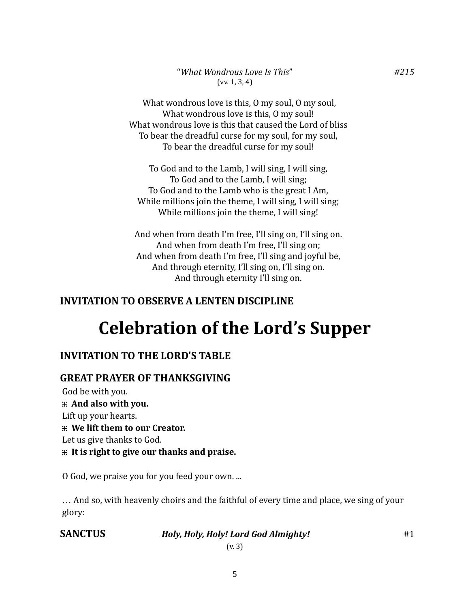What wondrous love is this, O my soul, O my soul, What wondrous love is this, 0 my soul! What wondrous love is this that caused the Lord of bliss To bear the dreadful curse for my soul, for my soul, To bear the dreadful curse for my soul!

To God and to the Lamb, I will sing, I will sing, To God and to the Lamb, I will sing; To God and to the Lamb who is the great I Am, While millions join the theme, I will sing, I will sing; While millions join the theme, I will sing!

And when from death I'm free, I'll sing on, I'll sing on. And when from death I'm free, I'll sing on; And when from death I'm free, I'll sing and joyful be, And through eternity, I'll sing on, I'll sing on. And through eternity I'll sing on.

# **INVITATION TO OBSERVE A LENTEN DISCIPLINE**

# **Celebration of the Lord's Supper**

# **INVITATION TO THE LORD'S TABLE**

# **GREAT PRAYER OF THANKSGIVING**

God be with you. **⁜ And also with you.** Lift up your hearts. **⁜ We lift them to our Creator.** Let us give thanks to God. **⁜ It is right to give our thanks and praise.**

O God, we praise you for you feed your own. ...

… And so, with heavenly choirs and the faithful of every time and place, we sing of your glory:

# **SANCTUS** *Holy, Holy, Holy! Lord God Almighty!* #1

5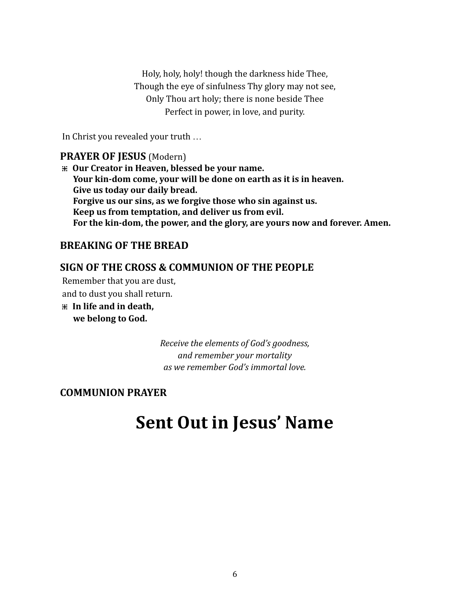Holy, holy, holy! though the darkness hide Thee, Though the eye of sinfulness Thy glory may not see, Only Thou art holy; there is none beside Thee Perfect in power, in love, and purity.

In Christ you revealed your truth …

### **PRAYER OF JESUS** (Modern)

**⁜ Our Creator in Heaven, blessed be your name. Your kin-dom come, your will be done on earth as it is in heaven. Give us today our daily bread. Forgive us our sins, as we forgive those who sin against us. Keep us from temptation, and deliver us from evil. For the kin-dom, the power, and the glory, are yours now and forever. Amen.**

# **BREAKING OF THE BREAD**

# **SIGN OF THE CROSS & COMMUNION OF THE PEOPLE**

Remember that you are dust,

and to dust you shall return.

**⁜ In life and in death, we belong to God.**

> *Receive the elements of God's goodness, and remember your mortality as we remember God's immortal love.*

# **COMMUNION PRAYER**

# **Sent Out in Jesus' Name**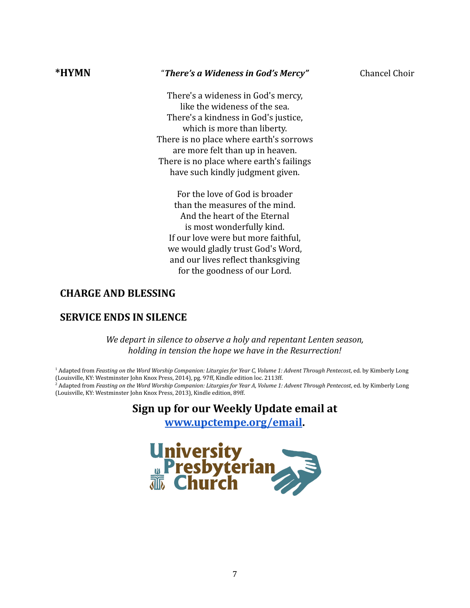#### **\*HYMN** "*There's a Wideness in God's Mercy"* Chancel Choir

There's a wideness in God's mercy, like the wideness of the sea. There's a kindness in God's justice, which is more than liberty. There is no place where earth's sorrows are more felt than up in heaven. There is no place where earth's failings have such kindly judgment given.

For the love of God is broader than the measures of the mind. And the heart of the Eternal is most wonderfully kind. If our love were but more faithful, we would gladly trust God's Word, and our lives reflect thanksgiving for the goodness of our Lord.

# **CHARGE AND BLESSING**

# **SERVICE ENDS IN SILENCE**

*We depart in silence to observe a holy and repentant Lenten season, holding in tension the hope we have in the Resurrection!*

<sup>1</sup> Adapted from Feasting on the Word Worship Companion: Liturgies for Year C, Volume 1: Advent Through Pentecost, ed. by Kimberly Long (Louisville, KY: Westminster John Knox Press, 2014), pg. 97ff, Kindle edition loc. 2113ff.  $^2$  Adapted from Feasting on the Word Worship Companion: Liturgies for Year A, Volume 1: Advent Through Pentecost, ed. by Kimberly Long (Louisville, KY: Westminster John Knox Press, 2013), Kindle edition, 89ff.

# **Sign up for our Weekly Update email at**

**[www.upctempe.org/email.](http://www.upctempe.org/email)**